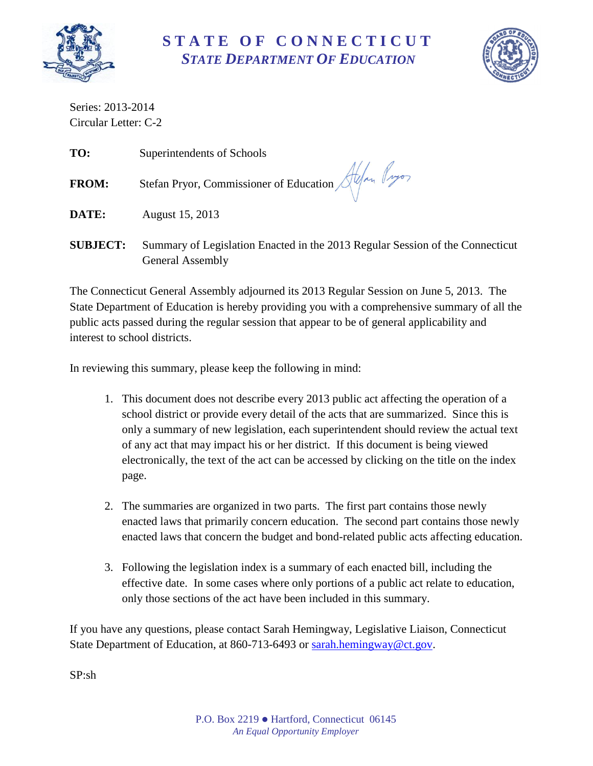

## **S T A T E O F C O N N E C T I C U T** *STATE DEPARTMENT OF EDUCATION*



Series: 2013-2014 Circular Letter: C-2

| TO:          | Superintendents of Schools                              |
|--------------|---------------------------------------------------------|
| <b>FROM:</b> | Stefan Pryor, Commissioner of Education Alexander Pryor |
| DATE:        | August 15, 2013                                         |
|              |                                                         |

**SUBJECT:** Summary of Legislation Enacted in the 2013 Regular Session of the Connecticut General Assembly

The Connecticut General Assembly adjourned its 2013 Regular Session on June 5, 2013. The State Department of Education is hereby providing you with a comprehensive summary of all the public acts passed during the regular session that appear to be of general applicability and interest to school districts.

In reviewing this summary, please keep the following in mind:

- 1. This document does not describe every 2013 public act affecting the operation of a school district or provide every detail of the acts that are summarized. Since this is only a summary of new legislation, each superintendent should review the actual text of any act that may impact his or her district. If this document is being viewed electronically, the text of the act can be accessed by clicking on the title on the index page.
- 2. The summaries are organized in two parts. The first part contains those newly enacted laws that primarily concern education. The second part contains those newly enacted laws that concern the budget and bond-related public acts affecting education.
- 3. Following the legislation index is a summary of each enacted bill, including the effective date. In some cases where only portions of a public act relate to education, only those sections of the act have been included in this summary.

If you have any questions, please contact Sarah Hemingway, Legislative Liaison, Connecticut State Department of Education, at 860-713-6493 or [sarah.hemingway@ct.gov.](mailto:sarah.hemingway@ct.gov)

SP:sh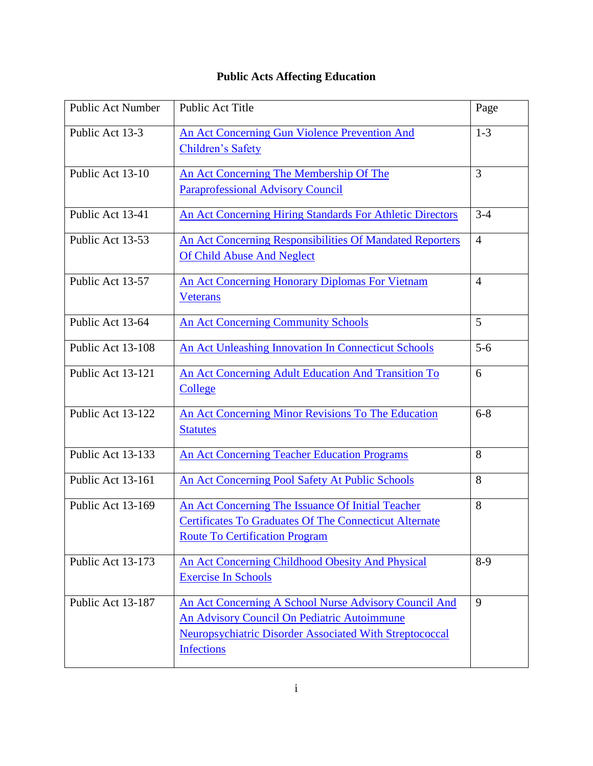## **Public Acts Affecting Education**

| <b>Public Act Number</b> | Public Act Title                                                                                                                                                                     | Page           |
|--------------------------|--------------------------------------------------------------------------------------------------------------------------------------------------------------------------------------|----------------|
| Public Act 13-3          | An Act Concerning Gun Violence Prevention And<br><b>Children's Safety</b>                                                                                                            | $1 - 3$        |
| Public Act 13-10         | An Act Concerning The Membership Of The<br><b>Paraprofessional Advisory Council</b>                                                                                                  | 3              |
| Public Act 13-41         | An Act Concerning Hiring Standards For Athletic Directors                                                                                                                            | $3 - 4$        |
| Public Act 13-53         | An Act Concerning Responsibilities Of Mandated Reporters<br><b>Of Child Abuse And Neglect</b>                                                                                        | $\overline{4}$ |
| Public Act 13-57         | <b>An Act Concerning Honorary Diplomas For Vietnam</b><br><b>Veterans</b>                                                                                                            | $\overline{4}$ |
| Public Act 13-64         | <b>An Act Concerning Community Schools</b>                                                                                                                                           | 5              |
| Public Act 13-108        | <b>An Act Unleashing Innovation In Connecticut Schools</b>                                                                                                                           | $5 - 6$        |
| Public Act 13-121        | An Act Concerning Adult Education And Transition To<br>College                                                                                                                       | 6              |
| Public Act 13-122        | An Act Concerning Minor Revisions To The Education<br><b>Statutes</b>                                                                                                                | $6 - 8$        |
| Public Act 13-133        | <b>An Act Concerning Teacher Education Programs</b>                                                                                                                                  | 8              |
| Public Act 13-161        | An Act Concerning Pool Safety At Public Schools                                                                                                                                      | 8              |
| Public Act 13-169        | An Act Concerning The Issuance Of Initial Teacher<br><b>Certificates To Graduates Of The Connecticut Alternate</b><br><b>Route To Certification Program</b>                          | 8              |
| Public Act 13-173        | An Act Concerning Childhood Obesity And Physical<br><b>Exercise In Schools</b>                                                                                                       | $8-9$          |
| Public Act 13-187        | An Act Concerning A School Nurse Advisory Council And<br>An Advisory Council On Pediatric Autoimmune<br>Neuropsychiatric Disorder Associated With Streptococcal<br><b>Infections</b> | 9              |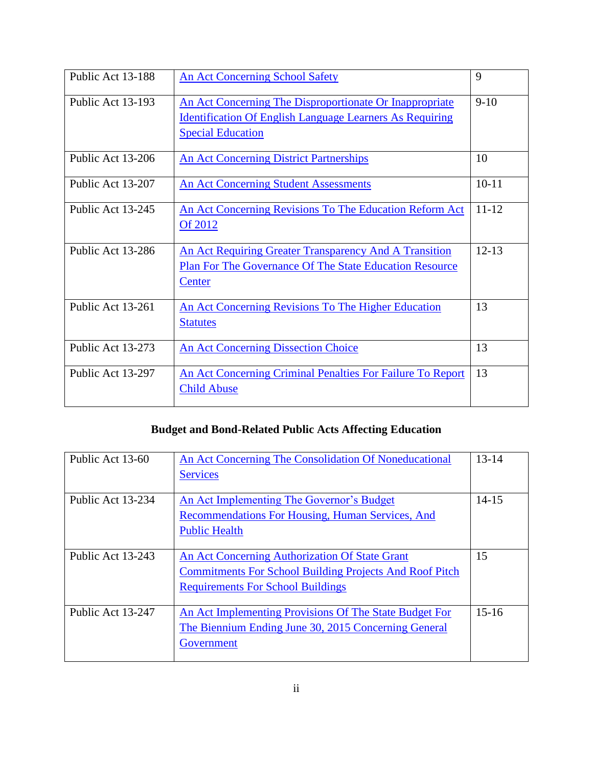| Public Act 13-188 | <b>An Act Concerning School Safety</b>                                                                                                                 | 9         |
|-------------------|--------------------------------------------------------------------------------------------------------------------------------------------------------|-----------|
| Public Act 13-193 | An Act Concerning The Disproportionate Or Inappropriate<br><b>Identification Of English Language Learners As Requiring</b><br><b>Special Education</b> | $9-10$    |
| Public Act 13-206 | <b>An Act Concerning District Partnerships</b>                                                                                                         | 10        |
| Public Act 13-207 | <b>An Act Concerning Student Assessments</b>                                                                                                           | $10 - 11$ |
| Public Act 13-245 | An Act Concerning Revisions To The Education Reform Act<br>Of 2012                                                                                     | $11 - 12$ |
| Public Act 13-286 | An Act Requiring Greater Transparency And A Transition<br><b>Plan For The Governance Of The State Education Resource</b><br>Center                     | $12 - 13$ |
| Public Act 13-261 | An Act Concerning Revisions To The Higher Education<br><b>Statutes</b>                                                                                 | 13        |
| Public Act 13-273 | <b>An Act Concerning Dissection Choice</b>                                                                                                             | 13        |
| Public Act 13-297 | An Act Concerning Criminal Penalties For Failure To Report<br><b>Child Abuse</b>                                                                       | 13        |

## **Budget and Bond-Related Public Acts Affecting Education**

| Public Act 13-60  | An Act Concerning The Consolidation Of Noneducational<br><b>Services</b>                                                                                     | $13 - 14$ |
|-------------------|--------------------------------------------------------------------------------------------------------------------------------------------------------------|-----------|
| Public Act 13-234 | An Act Implementing The Governor's Budget<br>Recommendations For Housing, Human Services, And                                                                | $14 - 15$ |
|                   | <b>Public Health</b>                                                                                                                                         |           |
| Public Act 13-243 | An Act Concerning Authorization Of State Grant<br><b>Commitments For School Building Projects And Roof Pitch</b><br><b>Requirements For School Buildings</b> | 15        |
| Public Act 13-247 | An Act Implementing Provisions Of The State Budget For<br>The Biennium Ending June 30, 2015 Concerning General<br>Government                                 | $15 - 16$ |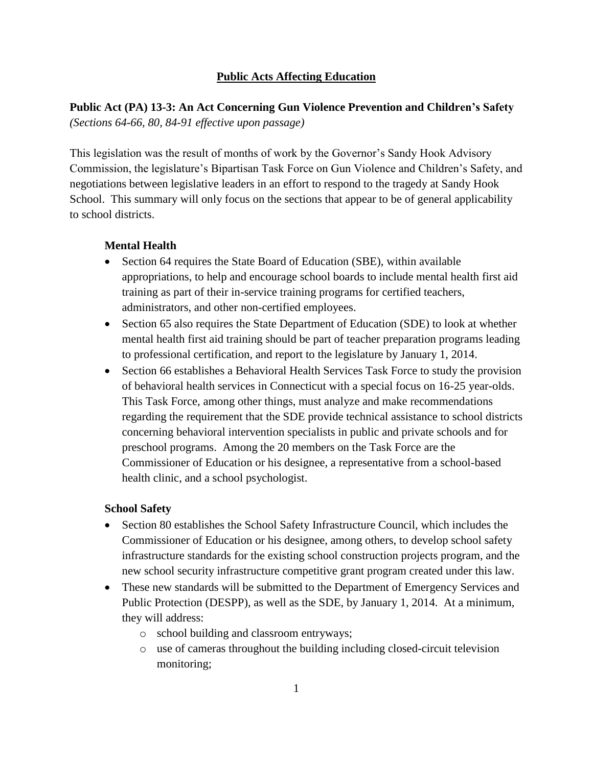#### **Public Acts Affecting Education**

#### **Public Act (PA) 13-3: An Act Concerning Gun Violence Prevention and Children's Safety** *(Sections 64-66, 80, 84-91 effective upon passage)*

This legislation was the result of months of work by the Governor's Sandy Hook Advisory Commission, the legislature's Bipartisan Task Force on Gun Violence and Children's Safety, and negotiations between legislative leaders in an effort to respond to the tragedy at Sandy Hook School. This summary will only focus on the sections that appear to be of general applicability to school districts.

#### **Mental Health**

- Section 64 requires the State Board of Education (SBE), within available appropriations, to help and encourage school boards to include mental health first aid training as part of their in-service training programs for certified teachers, administrators, and other non-certified employees.
- Section 65 also requires the State Department of Education (SDE) to look at whether mental health first aid training should be part of teacher preparation programs leading to professional certification, and report to the legislature by January 1, 2014.
- Section 66 establishes a Behavioral Health Services Task Force to study the provision of behavioral health services in Connecticut with a special focus on 16-25 year-olds. This Task Force, among other things, must analyze and make recommendations regarding the requirement that the SDE provide technical assistance to school districts concerning behavioral intervention specialists in public and private schools and for preschool programs. Among the 20 members on the Task Force are the Commissioner of Education or his designee, a representative from a school-based health clinic, and a school psychologist.

#### **School Safety**

- Section 80 establishes the School Safety Infrastructure Council, which includes the Commissioner of Education or his designee, among others, to develop school safety infrastructure standards for the existing school construction projects program, and the new school security infrastructure competitive grant program created under this law.
- These new standards will be submitted to the Department of Emergency Services and Public Protection (DESPP), as well as the SDE, by January 1, 2014. At a minimum, they will address:
	- o school building and classroom entryways;
	- o use of cameras throughout the building including closed-circuit television monitoring;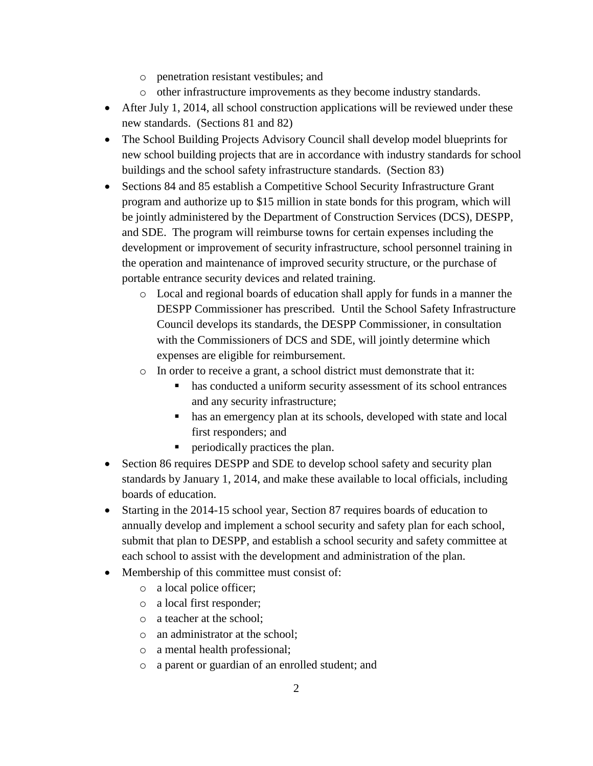- o penetration resistant vestibules; and
- o other infrastructure improvements as they become industry standards.
- After July 1, 2014, all school construction applications will be reviewed under these new standards. (Sections 81 and 82)
- The School Building Projects Advisory Council shall develop model blueprints for new school building projects that are in accordance with industry standards for school buildings and the school safety infrastructure standards. (Section 83)
- Sections 84 and 85 establish a Competitive School Security Infrastructure Grant program and authorize up to \$15 million in state bonds for this program, which will be jointly administered by the Department of Construction Services (DCS), DESPP, and SDE. The program will reimburse towns for certain expenses including the development or improvement of security infrastructure, school personnel training in the operation and maintenance of improved security structure, or the purchase of portable entrance security devices and related training.
	- o Local and regional boards of education shall apply for funds in a manner the DESPP Commissioner has prescribed. Until the School Safety Infrastructure Council develops its standards, the DESPP Commissioner, in consultation with the Commissioners of DCS and SDE, will jointly determine which expenses are eligible for reimbursement.
	- o In order to receive a grant, a school district must demonstrate that it:
		- has conducted a uniform security assessment of its school entrances and any security infrastructure;
		- has an emergency plan at its schools, developed with state and local first responders; and
		- **•** periodically practices the plan.
- Section 86 requires DESPP and SDE to develop school safety and security plan standards by January 1, 2014, and make these available to local officials, including boards of education.
- Starting in the 2014-15 school year, Section 87 requires boards of education to annually develop and implement a school security and safety plan for each school, submit that plan to DESPP, and establish a school security and safety committee at each school to assist with the development and administration of the plan.
- Membership of this committee must consist of:
	- o a local police officer;
	- o a local first responder;
	- o a teacher at the school;
	- o an administrator at the school;
	- o a mental health professional;
	- o a parent or guardian of an enrolled student; and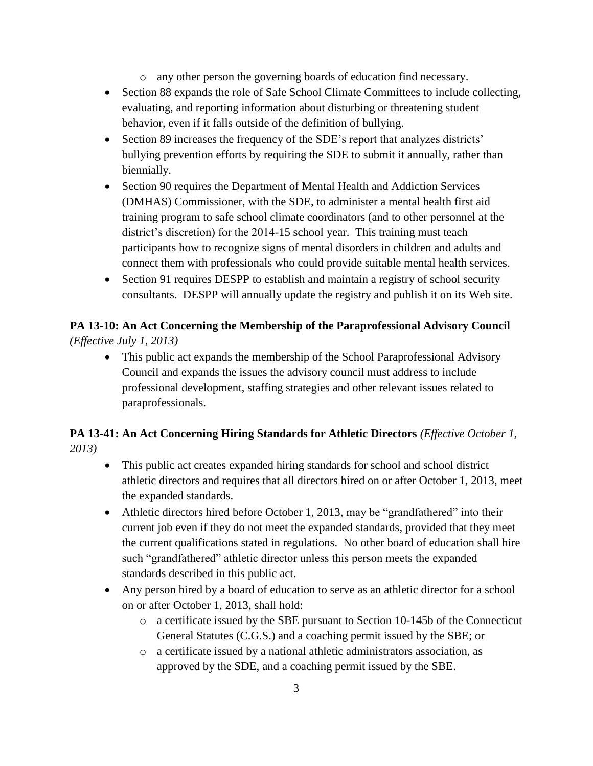- o any other person the governing boards of education find necessary.
- Section 88 expands the role of Safe School Climate Committees to include collecting, evaluating, and reporting information about disturbing or threatening student behavior, even if it falls outside of the definition of bullying.
- Section 89 increases the frequency of the SDE's report that analyzes districts' bullying prevention efforts by requiring the SDE to submit it annually, rather than biennially.
- Section 90 requires the Department of Mental Health and Addiction Services (DMHAS) Commissioner, with the SDE, to administer a mental health first aid training program to safe school climate coordinators (and to other personnel at the district's discretion) for the 2014-15 school year. This training must teach participants how to recognize signs of mental disorders in children and adults and connect them with professionals who could provide suitable mental health services.
- Section 91 requires DESPP to establish and maintain a registry of school security consultants. DESPP will annually update the registry and publish it on its Web site.

## **PA 13-10: An Act Concerning the Membership of the Paraprofessional Advisory Council**  *(Effective July 1, 2013)*

 This public act expands the membership of the School Paraprofessional Advisory Council and expands the issues the advisory council must address to include professional development, staffing strategies and other relevant issues related to paraprofessionals.

## **PA 13-41: An Act Concerning Hiring Standards for Athletic Directors** *(Effective October 1, 2013)*

- This public act creates expanded hiring standards for school and school district athletic directors and requires that all directors hired on or after October 1, 2013, meet the expanded standards.
- Athletic directors hired before October 1, 2013, may be "grandfathered" into their current job even if they do not meet the expanded standards, provided that they meet the current qualifications stated in regulations. No other board of education shall hire such "grandfathered" athletic director unless this person meets the expanded standards described in this public act.
- Any person hired by a board of education to serve as an athletic director for a school on or after October 1, 2013, shall hold:
	- o a certificate issued by the SBE pursuant to Section 10-145b of the Connecticut General Statutes (C.G.S.) and a coaching permit issued by the SBE; or
	- o a certificate issued by a national athletic administrators association, as approved by the SDE, and a coaching permit issued by the SBE.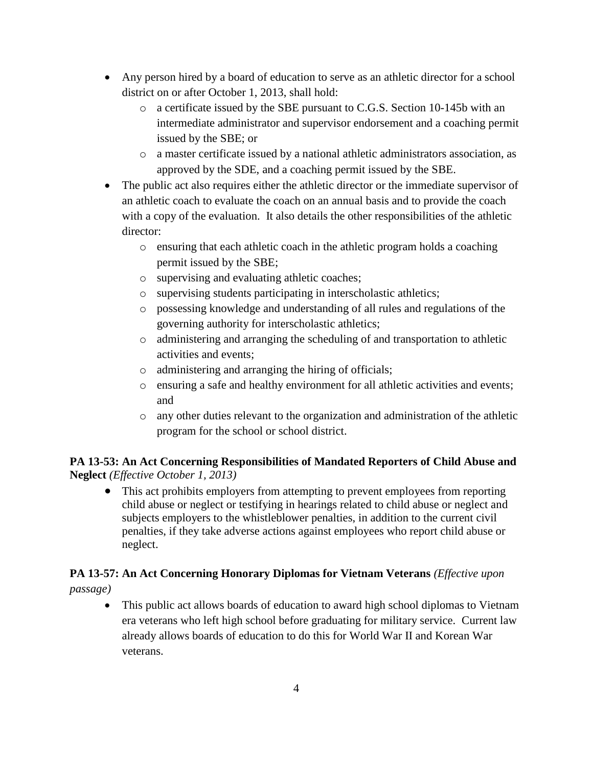- Any person hired by a board of education to serve as an athletic director for a school district on or after October 1, 2013, shall hold:
	- o a certificate issued by the SBE pursuant to C.G.S. Section 10-145b with an intermediate administrator and supervisor endorsement and a coaching permit issued by the SBE; or
	- o a master certificate issued by a national athletic administrators association, as approved by the SDE, and a coaching permit issued by the SBE.
- The public act also requires either the athletic director or the immediate supervisor of an athletic coach to evaluate the coach on an annual basis and to provide the coach with a copy of the evaluation. It also details the other responsibilities of the athletic director:
	- o ensuring that each athletic coach in the athletic program holds a coaching permit issued by the SBE;
	- o supervising and evaluating athletic coaches;
	- o supervising students participating in interscholastic athletics;
	- o possessing knowledge and understanding of all rules and regulations of the governing authority for interscholastic athletics;
	- o administering and arranging the scheduling of and transportation to athletic activities and events;
	- o administering and arranging the hiring of officials;
	- o ensuring a safe and healthy environment for all athletic activities and events; and
	- o any other duties relevant to the organization and administration of the athletic program for the school or school district.

#### **PA 13-53: An Act Concerning Responsibilities of Mandated Reporters of Child Abuse and Neglect** *(Effective October 1, 2013)*

 This act prohibits employers from attempting to prevent employees from reporting child abuse or neglect or testifying in hearings related to child abuse or neglect and subjects employers to the whistleblower penalties, in addition to the current civil penalties, if they take adverse actions against employees who report child abuse or neglect.

# **PA 13-57: An Act Concerning Honorary Diplomas for Vietnam Veterans** *(Effective upon*

*passage)*

 This public act allows boards of education to award high school diplomas to Vietnam era veterans who left high school before graduating for military service. Current law already allows boards of education to do this for World War II and Korean War veterans.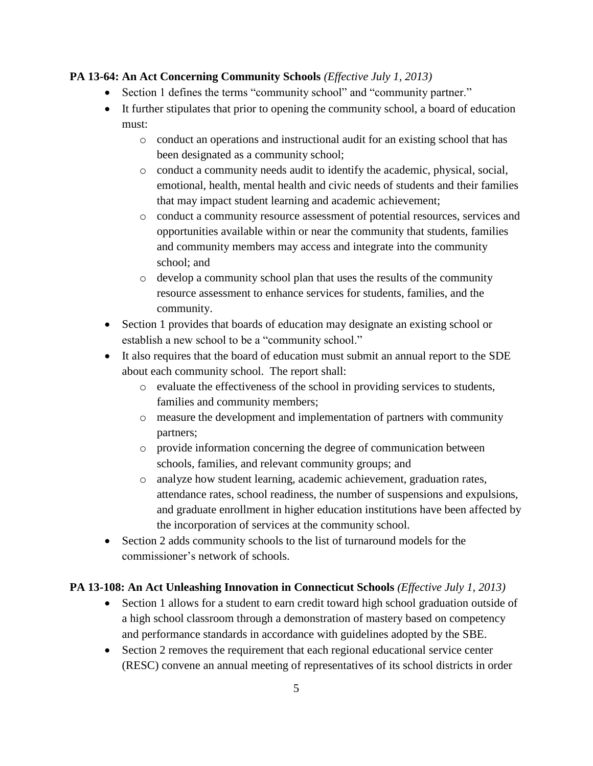#### **PA 13-64: An Act Concerning Community Schools** *(Effective July 1, 2013)*

- Section 1 defines the terms "community school" and "community partner."
- It further stipulates that prior to opening the community school, a board of education must:
	- o conduct an operations and instructional audit for an existing school that has been designated as a community school;
	- o conduct a community needs audit to identify the academic, physical, social, emotional, health, mental health and civic needs of students and their families that may impact student learning and academic achievement;
	- o conduct a community resource assessment of potential resources, services and opportunities available within or near the community that students, families and community members may access and integrate into the community school; and
	- o develop a community school plan that uses the results of the community resource assessment to enhance services for students, families, and the community.
- Section 1 provides that boards of education may designate an existing school or establish a new school to be a "community school."
- It also requires that the board of education must submit an annual report to the SDE about each community school. The report shall:
	- o evaluate the effectiveness of the school in providing services to students, families and community members;
	- o measure the development and implementation of partners with community partners;
	- o provide information concerning the degree of communication between schools, families, and relevant community groups; and
	- o analyze how student learning, academic achievement, graduation rates, attendance rates, school readiness, the number of suspensions and expulsions, and graduate enrollment in higher education institutions have been affected by the incorporation of services at the community school.
- Section 2 adds community schools to the list of turnaround models for the commissioner's network of schools.

#### **PA 13-108: An Act Unleashing Innovation in Connecticut Schools** *(Effective July 1, 2013)*

- Section 1 allows for a student to earn credit toward high school graduation outside of a high school classroom through a demonstration of mastery based on competency and performance standards in accordance with guidelines adopted by the SBE.
- Section 2 removes the requirement that each regional educational service center (RESC) convene an annual meeting of representatives of its school districts in order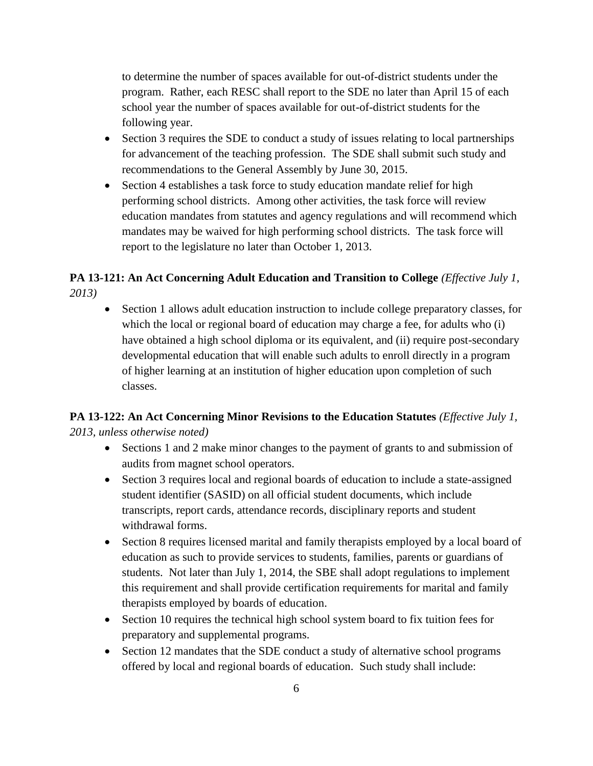to determine the number of spaces available for out-of-district students under the program. Rather, each RESC shall report to the SDE no later than April 15 of each school year the number of spaces available for out-of-district students for the following year.

- Section 3 requires the SDE to conduct a study of issues relating to local partnerships for advancement of the teaching profession. The SDE shall submit such study and recommendations to the General Assembly by June 30, 2015.
- Section 4 establishes a task force to study education mandate relief for high performing school districts. Among other activities, the task force will review education mandates from statutes and agency regulations and will recommend which mandates may be waived for high performing school districts. The task force will report to the legislature no later than October 1, 2013.

#### **PA 13-121: An Act Concerning Adult Education and Transition to College** *(Effective July 1, 2013)*

 Section 1 allows adult education instruction to include college preparatory classes, for which the local or regional board of education may charge a fee, for adults who (i) have obtained a high school diploma or its equivalent, and (ii) require post-secondary developmental education that will enable such adults to enroll directly in a program of higher learning at an institution of higher education upon completion of such classes.

## **PA 13-122: An Act Concerning Minor Revisions to the Education Statutes (Effective July 1,** *2013, unless otherwise noted)*

- Sections 1 and 2 make minor changes to the payment of grants to and submission of audits from magnet school operators.
- Section 3 requires local and regional boards of education to include a state-assigned student identifier (SASID) on all official student documents, which include transcripts, report cards, attendance records, disciplinary reports and student withdrawal forms.
- Section 8 requires licensed marital and family therapists employed by a local board of education as such to provide services to students, families, parents or guardians of students. Not later than July 1, 2014, the SBE shall adopt regulations to implement this requirement and shall provide certification requirements for marital and family therapists employed by boards of education.
- Section 10 requires the technical high school system board to fix tuition fees for preparatory and supplemental programs.
- Section 12 mandates that the SDE conduct a study of alternative school programs offered by local and regional boards of education. Such study shall include: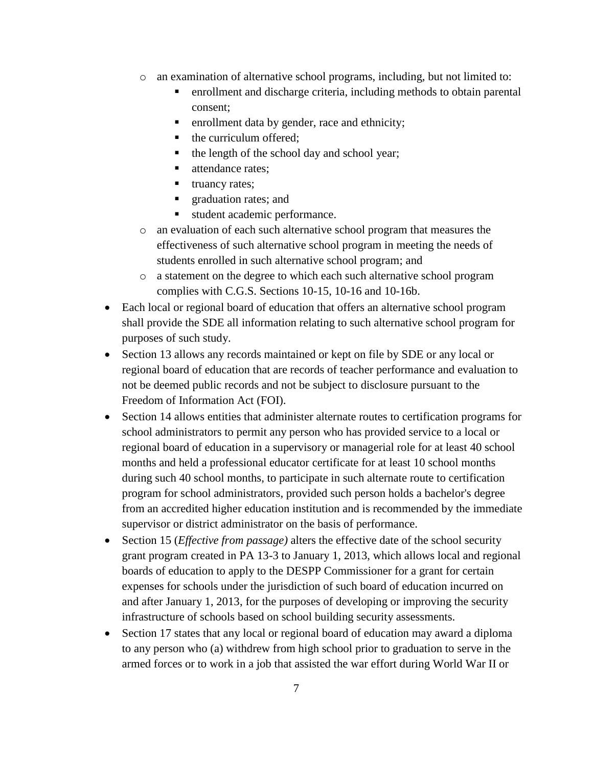- $\circ$  an examination of alternative school programs, including, but not limited to:
	- enrollment and discharge criteria, including methods to obtain parental consent;
	- **Example 1** enrollment data by gender, race and ethnicity;
	- the curriculum offered;
	- $\blacksquare$  the length of the school day and school year;
	- attendance rates:
	- $\blacksquare$  truancy rates;
	- **graduation rates; and**
	- student academic performance.
- o an evaluation of each such alternative school program that measures the effectiveness of such alternative school program in meeting the needs of students enrolled in such alternative school program; and
- o a statement on the degree to which each such alternative school program complies with C.G.S. Sections 10-15, 10-16 and 10-16b.
- Each local or regional board of education that offers an alternative school program shall provide the SDE all information relating to such alternative school program for purposes of such study.
- Section 13 allows any records maintained or kept on file by SDE or any local or regional board of education that are records of teacher performance and evaluation to not be deemed public records and not be subject to disclosure pursuant to the Freedom of Information Act (FOI).
- Section 14 allows entities that administer alternate routes to certification programs for school administrators to permit any person who has provided service to a local or regional board of education in a supervisory or managerial role for at least 40 school months and held a professional educator certificate for at least 10 school months during such 40 school months, to participate in such alternate route to certification program for school administrators, provided such person holds a bachelor's degree from an accredited higher education institution and is recommended by the immediate supervisor or district administrator on the basis of performance.
- Section 15 (*Effective from passage)* alters the effective date of the school security grant program created in PA 13-3 to January 1, 2013, which allows local and regional boards of education to apply to the DESPP Commissioner for a grant for certain expenses for schools under the jurisdiction of such board of education incurred on and after January 1, 2013, for the purposes of developing or improving the security infrastructure of schools based on school building security assessments.
- Section 17 states that any local or regional board of education may award a diploma to any person who (a) withdrew from high school prior to graduation to serve in the armed forces or to work in a job that assisted the war effort during World War II or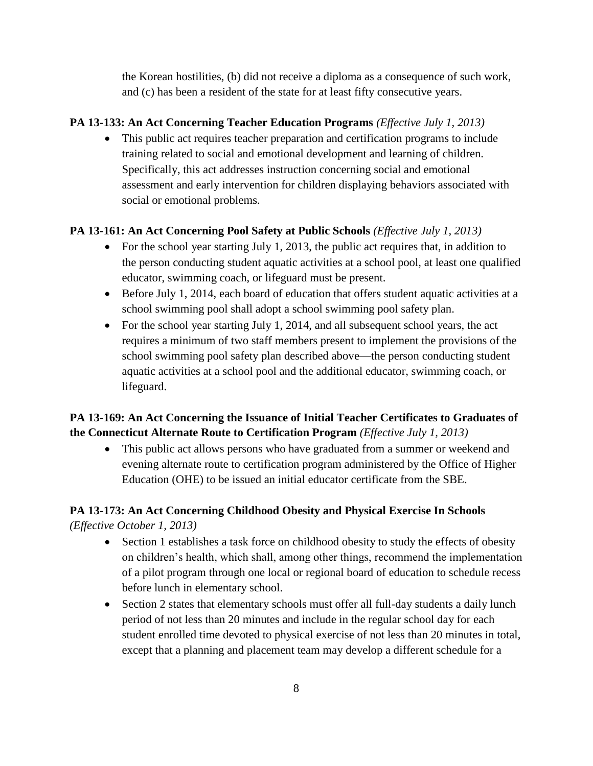the Korean hostilities, (b) did not receive a diploma as a consequence of such work, and (c) has been a resident of the state for at least fifty consecutive years.

#### **PA 13-133: An Act Concerning Teacher Education Programs** *(Effective July 1, 2013)*

 This public act requires teacher preparation and certification programs to include training related to social and emotional development and learning of children. Specifically, this act addresses instruction concerning social and emotional assessment and early intervention for children displaying behaviors associated with social or emotional problems.

#### **PA 13-161: An Act Concerning Pool Safety at Public Schools** *(Effective July 1, 2013)*

- For the school year starting July 1, 2013, the public act requires that, in addition to the person conducting student aquatic activities at a school pool, at least one qualified educator, swimming coach, or lifeguard must be present.
- Before July 1, 2014, each board of education that offers student aquatic activities at a school swimming pool shall adopt a school swimming pool safety plan.
- For the school year starting July 1, 2014, and all subsequent school years, the act requires a minimum of two staff members present to implement the provisions of the school swimming pool safety plan described above—the person conducting student aquatic activities at a school pool and the additional educator, swimming coach, or lifeguard.

## **PA 13-169: An Act Concerning the Issuance of Initial Teacher Certificates to Graduates of the Connecticut Alternate Route to Certification Program** *(Effective July 1, 2013)*

 This public act allows persons who have graduated from a summer or weekend and evening alternate route to certification program administered by the Office of Higher Education (OHE) to be issued an initial educator certificate from the SBE.

## **PA 13-173: An Act Concerning Childhood Obesity and Physical Exercise In Schools**

*(Effective October 1, 2013)*

- Section 1 establishes a task force on childhood obesity to study the effects of obesity on children's health, which shall, among other things, recommend the implementation of a pilot program through one local or regional board of education to schedule recess before lunch in elementary school.
- Section 2 states that elementary schools must offer all full-day students a daily lunch period of not less than 20 minutes and include in the regular school day for each student enrolled time devoted to physical exercise of not less than 20 minutes in total, except that a planning and placement team may develop a different schedule for a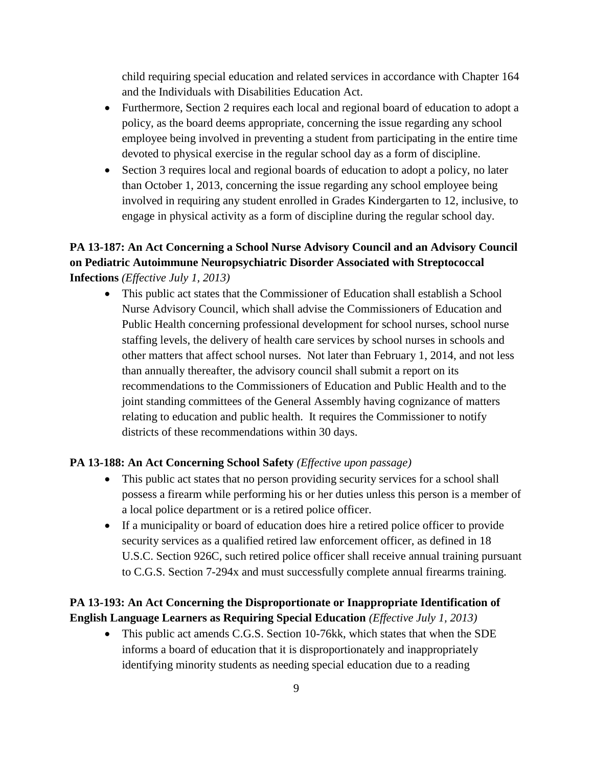child requiring special education and related services in accordance with Chapter 164 and the Individuals with Disabilities Education Act.

- Furthermore, Section 2 requires each local and regional board of education to adopt a policy, as the board deems appropriate, concerning the issue regarding any school employee being involved in preventing a student from participating in the entire time devoted to physical exercise in the regular school day as a form of discipline.
- Section 3 requires local and regional boards of education to adopt a policy, no later than October 1, 2013, concerning the issue regarding any school employee being involved in requiring any student enrolled in Grades Kindergarten to 12, inclusive, to engage in physical activity as a form of discipline during the regular school day.

## **PA 13-187: An Act Concerning a School Nurse Advisory Council and an Advisory Council on Pediatric Autoimmune Neuropsychiatric Disorder Associated with Streptococcal Infections** *(Effective July 1, 2013)*

 This public act states that the Commissioner of Education shall establish a School Nurse Advisory Council, which shall advise the Commissioners of Education and Public Health concerning professional development for school nurses, school nurse staffing levels, the delivery of health care services by school nurses in schools and other matters that affect school nurses. Not later than February 1, 2014, and not less than annually thereafter, the advisory council shall submit a report on its recommendations to the Commissioners of Education and Public Health and to the joint standing committees of the General Assembly having cognizance of matters relating to education and public health. It requires the Commissioner to notify districts of these recommendations within 30 days.

#### **PA 13-188: An Act Concerning School Safety** *(Effective upon passage)*

- This public act states that no person providing security services for a school shall possess a firearm while performing his or her duties unless this person is a member of a local police department or is a retired police officer.
- If a municipality or board of education does hire a retired police officer to provide security services as a qualified retired law enforcement officer, as defined in 18 U.S.C. Section 926C, such retired police officer shall receive annual training pursuant to C.G.S. Section 7-294x and must successfully complete annual firearms training.

#### **PA 13-193: An Act Concerning the Disproportionate or Inappropriate Identification of English Language Learners as Requiring Special Education** *(Effective July 1, 2013)*

• This public act amends C.G.S. Section 10-76kk, which states that when the SDE informs a board of education that it is disproportionately and inappropriately identifying minority students as needing special education due to a reading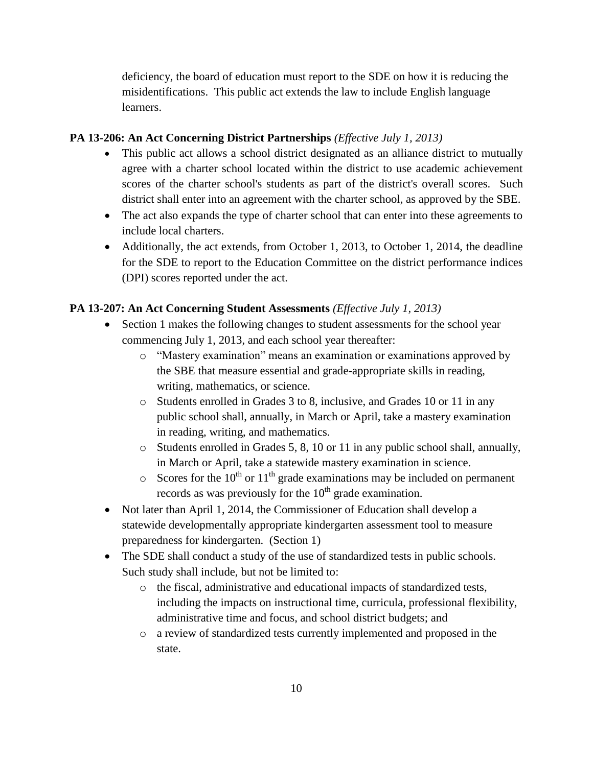deficiency, the board of education must report to the SDE on how it is reducing the misidentifications. This public act extends the law to include English language learners.

#### **PA 13-206: An Act Concerning District Partnerships** *(Effective July 1, 2013)*

- This public act allows a school district designated as an alliance district to mutually agree with a charter school located within the district to use academic achievement scores of the charter school's students as part of the district's overall scores. Such district shall enter into an agreement with the charter school, as approved by the SBE.
- The act also expands the type of charter school that can enter into these agreements to include local charters.
- Additionally, the act extends, from October 1, 2013, to October 1, 2014, the deadline for the SDE to report to the Education Committee on the district performance indices (DPI) scores reported under the act.

#### **PA 13-207: An Act Concerning Student Assessments** *(Effective July 1, 2013)*

- Section 1 makes the following changes to student assessments for the school year commencing July 1, 2013, and each school year thereafter:
	- o "Mastery examination" means an examination or examinations approved by the SBE that measure essential and grade-appropriate skills in reading, writing, mathematics, or science.
	- o Students enrolled in Grades 3 to 8, inclusive, and Grades 10 or 11 in any public school shall, annually, in March or April, take a mastery examination in reading, writing, and mathematics.
	- o Students enrolled in Grades 5, 8, 10 or 11 in any public school shall, annually, in March or April, take a statewide mastery examination in science.
	- $\circ$  Scores for the 10<sup>th</sup> or 11<sup>th</sup> grade examinations may be included on permanent records as was previously for the  $10<sup>th</sup>$  grade examination.
- Not later than April 1, 2014, the Commissioner of Education shall develop a statewide developmentally appropriate kindergarten assessment tool to measure preparedness for kindergarten. (Section 1)
- The SDE shall conduct a study of the use of standardized tests in public schools. Such study shall include, but not be limited to:
	- o the fiscal, administrative and educational impacts of standardized tests, including the impacts on instructional time, curricula, professional flexibility, administrative time and focus, and school district budgets; and
	- o a review of standardized tests currently implemented and proposed in the state.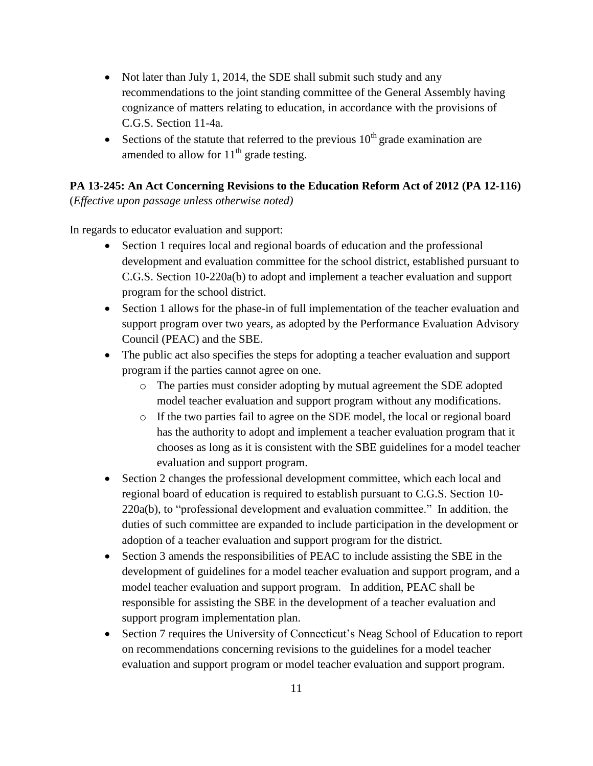- Not later than July 1, 2014, the SDE shall submit such study and any recommendations to the joint standing committee of the General Assembly having cognizance of matters relating to education, in accordance with the provisions of C.G.S. Section 11-4a.
- Sections of the statute that referred to the previous  $10<sup>th</sup>$  grade examination are amended to allow for  $11<sup>th</sup>$  grade testing.

#### **PA 13-245: An Act Concerning Revisions to the Education Reform Act of 2012 (PA 12-116)**

(*Effective upon passage unless otherwise noted)*

In regards to educator evaluation and support:

- Section 1 requires local and regional boards of education and the professional development and evaluation committee for the school district, established pursuant to C.G.S. Section 10-220a(b) to adopt and implement a teacher evaluation and support program for the school district.
- Section 1 allows for the phase-in of full implementation of the teacher evaluation and support program over two years, as adopted by the Performance Evaluation Advisory Council (PEAC) and the SBE.
- The public act also specifies the steps for adopting a teacher evaluation and support program if the parties cannot agree on one.
	- o The parties must consider adopting by mutual agreement the SDE adopted model teacher evaluation and support program without any modifications.
	- o If the two parties fail to agree on the SDE model, the local or regional board has the authority to adopt and implement a teacher evaluation program that it chooses as long as it is consistent with the SBE guidelines for a model teacher evaluation and support program.
- Section 2 changes the professional development committee, which each local and regional board of education is required to establish pursuant to C.G.S. Section 10- 220a(b), to "professional development and evaluation committee." In addition, the duties of such committee are expanded to include participation in the development or adoption of a teacher evaluation and support program for the district.
- Section 3 amends the responsibilities of PEAC to include assisting the SBE in the development of guidelines for a model teacher evaluation and support program, and a model teacher evaluation and support program. In addition, PEAC shall be responsible for assisting the SBE in the development of a teacher evaluation and support program implementation plan.
- Section 7 requires the University of Connecticut's Neag School of Education to report on recommendations concerning revisions to the guidelines for a model teacher evaluation and support program or model teacher evaluation and support program.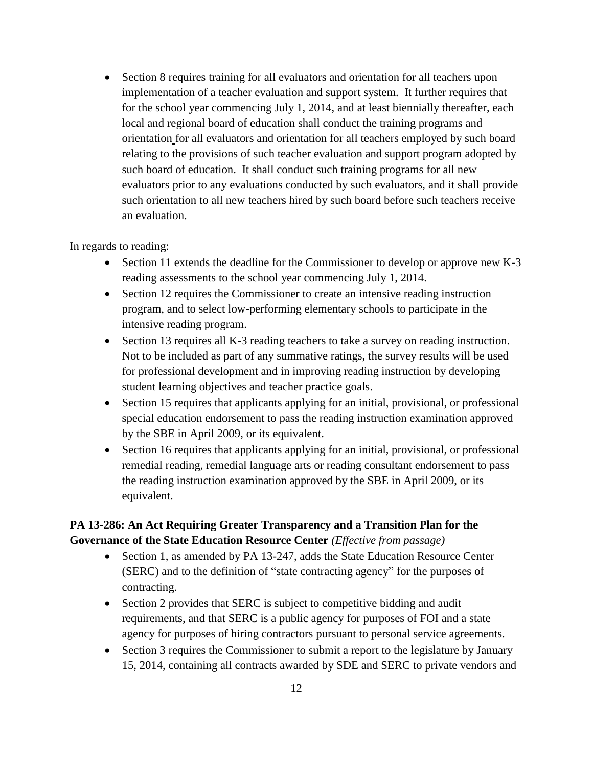• Section 8 requires training for all evaluators and orientation for all teachers upon implementation of a teacher evaluation and support system. It further requires that for the school year commencing July 1, 2014, and at least biennially thereafter, each local and regional board of education shall conduct the training programs and orientation for all evaluators and orientation for all teachers employed by such board relating to the provisions of such teacher evaluation and support program adopted by such board of education. It shall conduct such training programs for all new evaluators prior to any evaluations conducted by such evaluators, and it shall provide such orientation to all new teachers hired by such board before such teachers receive an evaluation.

#### In regards to reading:

- Section 11 extends the deadline for the Commissioner to develop or approve new K-3 reading assessments to the school year commencing July 1, 2014.
- Section 12 requires the Commissioner to create an intensive reading instruction program, and to select low-performing elementary schools to participate in the intensive reading program.
- Section 13 requires all K-3 reading teachers to take a survey on reading instruction. Not to be included as part of any summative ratings, the survey results will be used for professional development and in improving reading instruction by developing student learning objectives and teacher practice goals.
- Section 15 requires that applicants applying for an initial, provisional, or professional special education endorsement to pass the reading instruction examination approved by the SBE in April 2009, or its equivalent.
- Section 16 requires that applicants applying for an initial, provisional, or professional remedial reading, remedial language arts or reading consultant endorsement to pass the reading instruction examination approved by the SBE in April 2009, or its equivalent.

#### **PA 13-286: An Act Requiring Greater Transparency and a Transition Plan for the Governance of the State Education Resource Center** *(Effective from passage)*

- Section 1, as amended by PA 13-247, adds the State Education Resource Center (SERC) and to the definition of "state contracting agency" for the purposes of contracting.
- Section 2 provides that SERC is subject to competitive bidding and audit requirements, and that SERC is a public agency for purposes of FOI and a state agency for purposes of hiring contractors pursuant to personal service agreements.
- Section 3 requires the Commissioner to submit a report to the legislature by January 15, 2014, containing all contracts awarded by SDE and SERC to private vendors and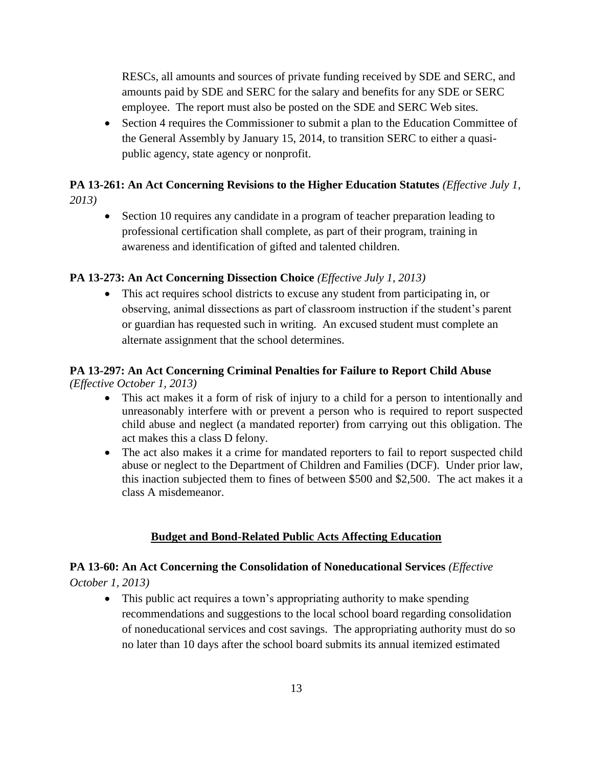RESCs, all amounts and sources of private funding received by SDE and SERC, and amounts paid by SDE and SERC for the salary and benefits for any SDE or SERC employee. The report must also be posted on the SDE and SERC Web sites.

• Section 4 requires the Commissioner to submit a plan to the Education Committee of the General Assembly by January 15, 2014, to transition SERC to either a quasipublic agency, state agency or nonprofit.

## **PA 13-261: An Act Concerning Revisions to the Higher Education Statutes (Effective July 1,** *2013)*

• Section 10 requires any candidate in a program of teacher preparation leading to professional certification shall complete, as part of their program, training in awareness and identification of gifted and talented children.

#### **PA 13-273: An Act Concerning Dissection Choice** *(Effective July 1, 2013)*

 This act requires school districts to excuse any student from participating in, or observing, animal dissections as part of classroom instruction if the student's parent or guardian has requested such in writing. An excused student must complete an alternate assignment that the school determines.

# **PA 13-297: An Act Concerning Criminal Penalties for Failure to Report Child Abuse**

*(Effective October 1, 2013)*

- This act makes it a form of risk of injury to a child for a person to intentionally and unreasonably interfere with or prevent a person who is required to report suspected child abuse and neglect (a mandated reporter) from carrying out this obligation. The act makes this a class D felony.
- The act also makes it a crime for mandated reporters to fail to report suspected child abuse or neglect to the Department of Children and Families (DCF). Under prior law, this inaction subjected them to fines of between \$500 and \$2,500. The act makes it a class A misdemeanor.

## **Budget and Bond-Related Public Acts Affecting Education**

## **PA 13-60: An Act Concerning the Consolidation of Noneducational Services** *(Effective October 1, 2013)*

• This public act requires a town's appropriating authority to make spending recommendations and suggestions to the local school board regarding consolidation of noneducational services and cost savings. The appropriating authority must do so no later than 10 days after the school board submits its annual itemized estimated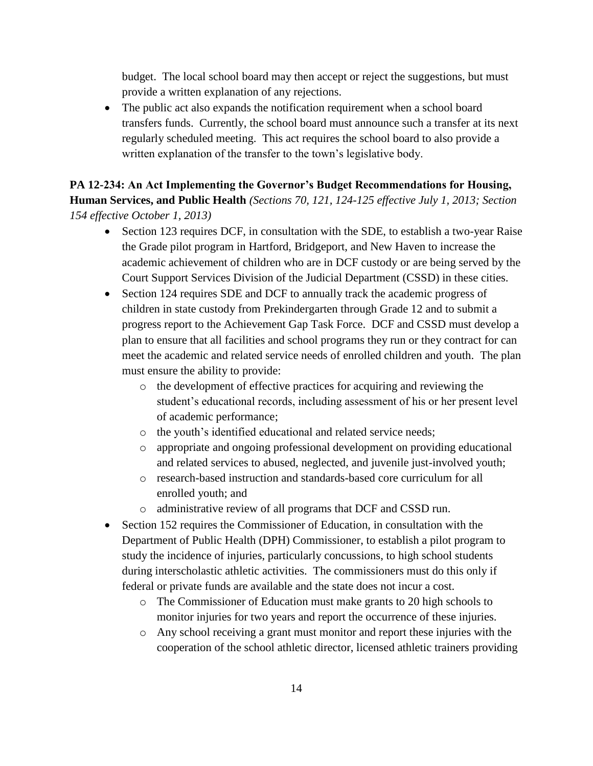budget. The local school board may then accept or reject the suggestions, but must provide a written explanation of any rejections.

• The public act also expands the notification requirement when a school board transfers funds. Currently, the school board must announce such a transfer at its next regularly scheduled meeting. This act requires the school board to also provide a written explanation of the transfer to the town's legislative body.

**PA 12-234: An Act Implementing the Governor's Budget Recommendations for Housing, Human Services, and Public Health** *(Sections 70, 121, 124-125 effective July 1, 2013; Section 154 effective October 1, 2013)*

- Section 123 requires DCF, in consultation with the SDE, to establish a two-year Raise the Grade pilot program in Hartford, Bridgeport, and New Haven to increase the academic achievement of children who are in DCF custody or are being served by the Court Support Services Division of the Judicial Department (CSSD) in these cities.
- Section 124 requires SDE and DCF to annually track the academic progress of children in state custody from Prekindergarten through Grade 12 and to submit a progress report to the Achievement Gap Task Force. DCF and CSSD must develop a plan to ensure that all facilities and school programs they run or they contract for can meet the academic and related service needs of enrolled children and youth. The plan must ensure the ability to provide:
	- o the development of effective practices for acquiring and reviewing the student's educational records, including assessment of his or her present level of academic performance;
	- o the youth's identified educational and related service needs;
	- o appropriate and ongoing professional development on providing educational and related services to abused, neglected, and juvenile just-involved youth;
	- o research-based instruction and standards-based core curriculum for all enrolled youth; and
	- o administrative review of all programs that DCF and CSSD run.
- Section 152 requires the Commissioner of Education, in consultation with the Department of Public Health (DPH) Commissioner, to establish a pilot program to study the incidence of injuries, particularly concussions, to high school students during interscholastic athletic activities. The commissioners must do this only if federal or private funds are available and the state does not incur a cost.
	- o The Commissioner of Education must make grants to 20 high schools to monitor injuries for two years and report the occurrence of these injuries.
	- o Any school receiving a grant must monitor and report these injuries with the cooperation of the school athletic director, licensed athletic trainers providing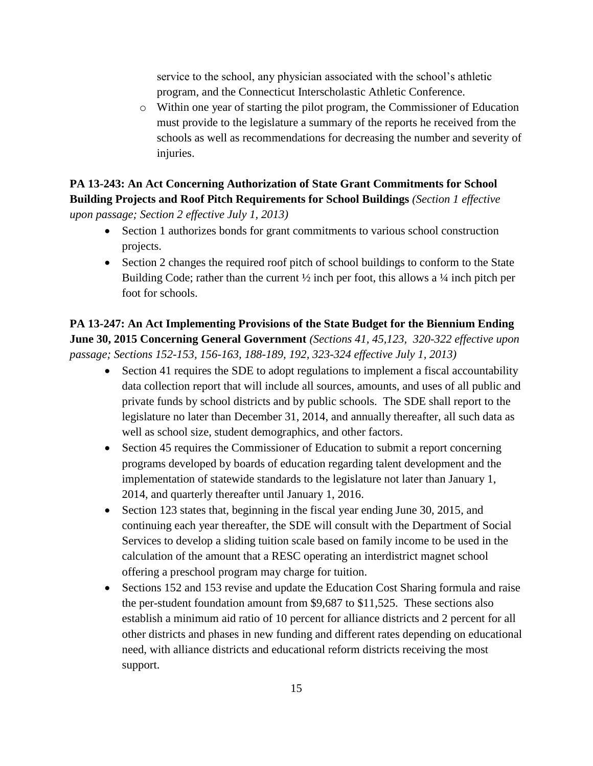service to the school, any physician associated with the school's athletic program, and the Connecticut Interscholastic Athletic Conference.

o Within one year of starting the pilot program, the Commissioner of Education must provide to the legislature a summary of the reports he received from the schools as well as recommendations for decreasing the number and severity of injuries.

**PA 13-243: An Act Concerning Authorization of State Grant Commitments for School Building Projects and Roof Pitch Requirements for School Buildings** *(Section 1 effective upon passage; Section 2 effective July 1, 2013)*

- Section 1 authorizes bonds for grant commitments to various school construction projects.
- Section 2 changes the required roof pitch of school buildings to conform to the State Building Code; rather than the current  $\frac{1}{2}$  inch per foot, this allows a  $\frac{1}{4}$  inch pitch per foot for schools.

**PA 13-247: An Act Implementing Provisions of the State Budget for the Biennium Ending June 30, 2015 Concerning General Government** *(Sections 41, 45,123, 320-322 effective upon passage; Sections 152-153, 156-163, 188-189, 192, 323-324 effective July 1, 2013)*

- Section 41 requires the SDE to adopt regulations to implement a fiscal accountability data collection report that will include all sources, amounts, and uses of all public and private funds by school districts and by public schools. The SDE shall report to the legislature no later than December 31, 2014, and annually thereafter, all such data as well as school size, student demographics, and other factors.
- Section 45 requires the Commissioner of Education to submit a report concerning programs developed by boards of education regarding talent development and the implementation of statewide standards to the legislature not later than January 1, 2014, and quarterly thereafter until January 1, 2016.
- Section 123 states that, beginning in the fiscal year ending June 30, 2015, and continuing each year thereafter, the SDE will consult with the Department of Social Services to develop a sliding tuition scale based on family income to be used in the calculation of the amount that a RESC operating an interdistrict magnet school offering a preschool program may charge for tuition.
- Sections 152 and 153 revise and update the Education Cost Sharing formula and raise the per-student foundation amount from \$9,687 to \$11,525. These sections also establish a minimum aid ratio of 10 percent for alliance districts and 2 percent for all other districts and phases in new funding and different rates depending on educational need, with alliance districts and educational reform districts receiving the most support.